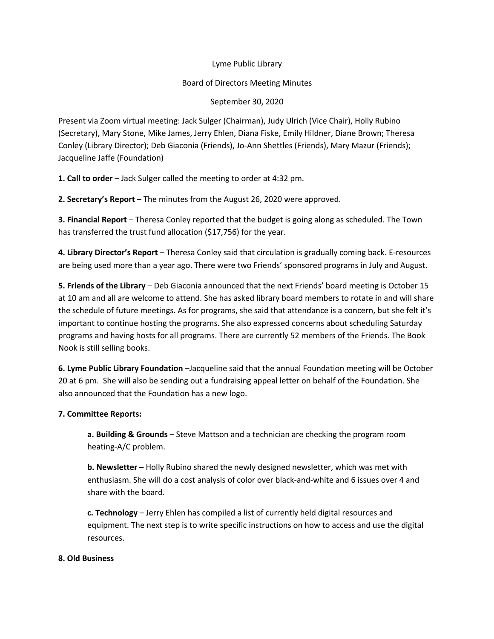## Lyme Public Library

## Board of Directors Meeting Minutes

## September 30, 2020

Present via Zoom virtual meeting: Jack Sulger (Chairman), Judy Ulrich (Vice Chair), Holly Rubino (Secretary), Mary Stone, Mike James, Jerry Ehlen, Diana Fiske, Emily Hildner, Diane Brown; Theresa Conley (Library Director); Deb Giaconia (Friends), Jo-Ann Shettles (Friends), Mary Mazur (Friends); Jacqueline Jaffe (Foundation)

**1. Call to order** – Jack Sulger called the meeting to order at 4:32 pm.

**2. Secretary's Report** – The minutes from the August 26, 2020 were approved.

**3. Financial Report** – Theresa Conley reported that the budget is going along as scheduled. The Town has transferred the trust fund allocation (\$17,756) for the year.

**4. Library Director's Report** – Theresa Conley said that circulation is gradually coming back. E-resources are being used more than a year ago. There were two Friends' sponsored programs in July and August.

**5. Friends of the Library** – Deb Giaconia announced that the next Friends' board meeting is October 15 at 10 am and all are welcome to attend. She has asked library board members to rotate in and will share the schedule of future meetings. As for programs, she said that attendance is a concern, but she felt it's important to continue hosting the programs. She also expressed concerns about scheduling Saturday programs and having hosts for all programs. There are currently 52 members of the Friends. The Book Nook is still selling books.

**6. Lyme Public Library Foundation** –Jacqueline said that the annual Foundation meeting will be October 20 at 6 pm. She will also be sending out a fundraising appeal letter on behalf of the Foundation. She also announced that the Foundation has a new logo.

# **7. Committee Reports:**

**a. Building & Grounds** – Steve Mattson and a technician are checking the program room heating-A/C problem.

**b. Newsletter** – Holly Rubino shared the newly designed newsletter, which was met with enthusiasm. She will do a cost analysis of color over black-and-white and 6 issues over 4 and share with the board.

**c. Technology** – Jerry Ehlen has compiled a list of currently held digital resources and equipment. The next step is to write specific instructions on how to access and use the digital resources.

### **8. Old Business**